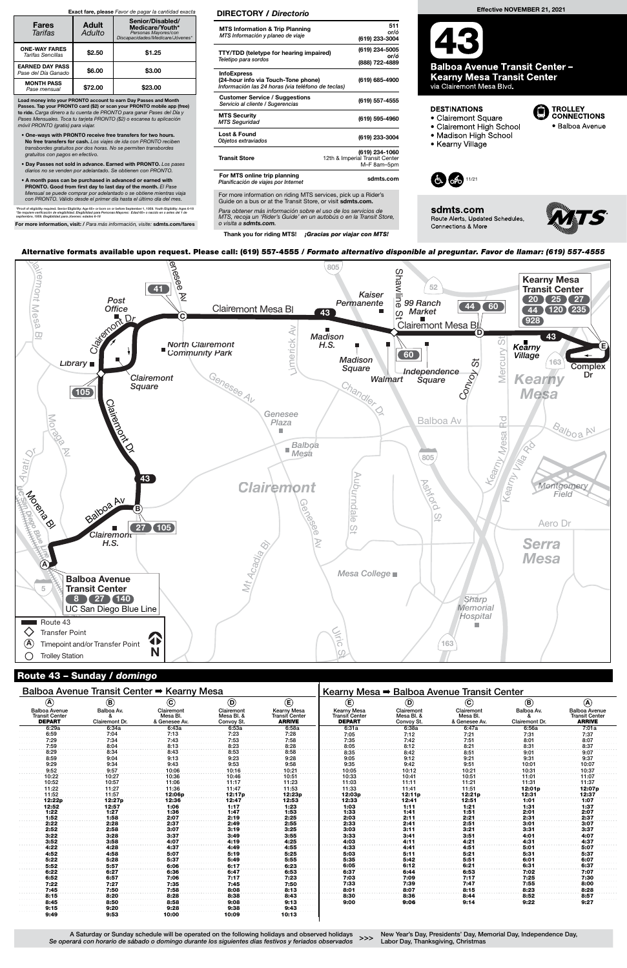A Saturday or Sunday schedule will be operated on the following holidays and observed holidays Se operará con horario de sábado o domingo durante los siguientes días festivos y feriados observados

New Year's Day, Presidents' Day, Memorial Day, Independence Day, >>> New Year's Bay, Tresidents Bay, the<br>Labor Day, Thanksgiving, Christmas

Guide on a bus or at the Transit Store, or visit **sdmts.com.** Para obtener más información sobre el uso de los servicios de

| Balboa Avenue Transit Center → Kearny Mesa                     |                              |                                         |                                        | Kearny Mesa → Balboa Avenue Transit Center                   |                                                              |                                        |                                         |                              |                                                                |
|----------------------------------------------------------------|------------------------------|-----------------------------------------|----------------------------------------|--------------------------------------------------------------|--------------------------------------------------------------|----------------------------------------|-----------------------------------------|------------------------------|----------------------------------------------------------------|
| $\circledast$                                                  | $^{\circledR}$               | $\odot$                                 | $\odot$                                | $\mathbf{E}$                                                 | $\circlede$                                                  | $^{\circledR}$                         | $\odot$                                 | $\mathbf{B}$                 | $\circledA$                                                    |
| <b>Balboa Avenue</b><br><b>Transit Center</b><br><b>DEPART</b> | Balboa Av.<br>Clairemont Dr. | Clairemont<br>Mesa Bl.<br>& Genesee Av. | Clairemont<br>Mesa Bl. &<br>Convoy St. | <b>Kearny Mesa</b><br><b>Transit Center</b><br><b>ARRIVE</b> | <b>Kearny Mesa</b><br><b>Transit Center</b><br><b>DEPART</b> | Clairemont<br>Mesa Bl. &<br>Convoy St. | Clairemont<br>Mesa Bl.<br>& Genesee Av. | Balboa Av.<br>Clairemont Dr. | <b>Balboa Avenue</b><br><b>Transit Center</b><br><b>ARRIVE</b> |
| 6:29a                                                          | 6:34a                        | 6:43a                                   | 6:53a                                  | 6:58a                                                        | 6:31a                                                        | 6:38a                                  | 6:47a                                   | 6:56a                        | 7:01a                                                          |
| 6:59                                                           | 7:04                         | 7:13                                    | 7:23                                   | 7:28                                                         | 7:05                                                         | 7:12                                   | 7:21                                    | 7:31                         | 7:37                                                           |
| 7:29                                                           | 7:34                         | 7:43                                    | 7:53                                   | 7:58                                                         | 7:35                                                         | 7:42                                   | 7:51                                    | 8:01                         | 8:07                                                           |
| 7:59                                                           | 8:04                         | 8:13                                    | 8:23                                   | 8:28                                                         | 8:05                                                         | 8:12                                   | 8:21                                    | 8:31                         | 8:37                                                           |
| 8:29                                                           | 8:34                         | 8:43                                    | 8:53                                   | 8:58                                                         | 8:35                                                         | 8:42                                   | 8:51                                    | 9:01                         | 9:07                                                           |
| 8:59                                                           | 9:04                         | 9:13                                    | 9:23                                   | 9:28                                                         | 9:05                                                         | 9:12                                   | 9:21                                    | 9:31                         | 9:37                                                           |
| 9:29                                                           | 9:34                         | 9:43                                    | 9:53                                   | 9:58                                                         | 9:35                                                         | 9:42                                   | 9:51                                    | 10:01                        | 10:07                                                          |
| 9:52                                                           | 9:57                         | 10:06                                   | 10:16                                  | 10:21                                                        | 10:05                                                        | 10:12                                  | 10:21                                   | 10:31                        | 10:37                                                          |
| 10:22                                                          | 10:27                        | 10:36                                   | 10:46                                  | 10:51                                                        | 10:33                                                        | 10:41                                  | 10:51                                   | 11:01                        | 11:07                                                          |
| 10:52                                                          | 10:57                        | 11:06                                   | 11:17                                  | 11:23                                                        | 11:03                                                        | 11:11                                  | 11:21                                   | 11:31                        | 11:37                                                          |
| 11:22                                                          | 11:27                        | 11:36                                   | 11:47                                  | 11:53                                                        | 11:33                                                        | 11:41                                  | 11:51                                   | 12:01p                       | 12:07p                                                         |
| 11:52                                                          | 11:57                        | 12:06p                                  | 12:17p                                 | 12:23p                                                       | 12:03p                                                       | 12:11p                                 | 12:21p                                  | 12:31                        | 12:37                                                          |
| 12:22p                                                         | 12:27p                       | 12:36                                   | 12:47                                  | 12:53                                                        | 12:33                                                        | 12:41                                  | 12:51                                   | 1:01                         | 1:07                                                           |
| 12:52                                                          | 12:57                        | 1:06                                    | 1:17                                   | 1:23                                                         | 1:03                                                         | 1:11                                   | 1:21                                    | 1:31                         | 1:37                                                           |
| 1:22                                                           | 1:27                         | 1:36                                    | 1:47                                   | 1:53                                                         | 1:33                                                         | 1:41                                   | 1:51                                    | 2:01                         | 2:07                                                           |
| 1:52                                                           | 1:58                         | 2:07                                    | 2:19                                   | 2:25                                                         | 2:03                                                         | 2:11                                   | 2:21                                    | 2:31                         | 2:37                                                           |
| 2:22                                                           | 2:28                         | 2:37                                    | 2:49                                   | 2:55                                                         | 2:33                                                         | 2:41                                   | 2:51                                    | 3:01                         | 3:07                                                           |
| 2:52                                                           | 2:58                         | 3:07                                    | 3:19                                   | 3:25                                                         | 3:03                                                         | 3:11                                   | 3:21                                    | 3:31                         | 3:37                                                           |
| 3:22                                                           | 3:28                         | 3:37                                    | 3:49                                   | 3:55                                                         | 3:33                                                         | 3:41                                   | 3:51                                    | 4:01                         | 4:07                                                           |
| 3:52                                                           | 3:58                         | 4:07                                    | 4:19                                   | 4:25                                                         | 4:03                                                         | 4:11                                   | 4:21                                    | 4:31                         | 4:37                                                           |
| 4:22                                                           | 4:28                         | 4:37                                    | 4:49                                   | 4:55                                                         | 4:33                                                         | 4:41                                   | 4:51                                    | 5:01                         | 5:07                                                           |
| 4:52                                                           | 4:58                         | 5:07                                    | 5:19                                   | 5:25                                                         | 5:03                                                         | 5:11                                   | 5:21                                    | 5:31                         | 5:37                                                           |
| 5:22                                                           | 5:28                         | 5:37                                    | 5:49                                   | 5:55                                                         | 5:35                                                         | 5:42                                   | 5:51                                    | 6:01                         | 6:07                                                           |
| 5:52                                                           | 5:57                         | 6:06                                    | 6:17                                   | 6:23                                                         | 6:05                                                         | 6:12                                   | 6:21                                    | 6:31                         | 6:37                                                           |
| 6:22                                                           | 6:27                         | 6:36                                    | 6:47                                   | 6:53                                                         | 6:37                                                         | 6:44                                   | 6:53                                    | 7:02                         | 7:07                                                           |
| 6:52                                                           | 6:57                         | 7:06                                    | 7:17                                   | 7:23                                                         | 7:03                                                         | 7:09                                   | 7:17                                    | 7:25                         | 7:30                                                           |
| 7:22                                                           | 7:27                         | 7:35                                    | 7:45                                   | 7:50                                                         | 7:33                                                         | 7:39                                   | 7:47                                    | 7:55                         | 8:00                                                           |
| 7:45                                                           | 7:50                         | 7:58                                    | 8:08                                   | 8:13                                                         | 8:01                                                         | 8:07                                   | 8:15                                    | 8:23                         | 8:28                                                           |
| 8:15                                                           | 8:20                         | 8:28                                    | 8:38                                   | 8:43                                                         | 8:30                                                         | 8:36                                   | 8:44                                    | 8:52                         | 8:57                                                           |
| 8:45                                                           | 8:50                         | 8:58                                    | 9:08                                   | 9:13                                                         | 9:00                                                         | 9:06                                   | 9:14                                    | 9:22                         | 9:27                                                           |
| 9:15                                                           | 9:20                         | 9:28                                    | 9:38                                   | 9:43                                                         |                                                              |                                        |                                         |                              |                                                                |
| 9:49                                                           | 9:53                         | 10:00                                   | 10:09                                  | 10:13                                                        |                                                              |                                        |                                         |                              |                                                                |



### Route 43 – Sunday / domingo

Alternative formats available upon request. Please call: (619) 557-4555 / Formato alternativo disponible al preguntar. Favor de llamar: (619) 557-4555

MTS, recoja un 'Rider's Guide' en un autobús o en la Transit Store, o visita a sdmts.com.

Thank you for riding MTS! ¡Gracias por viajar con MTS!

### DIRECTORY / Directorio

| <b>MTS Information &amp; Trip Planning</b><br>MTS Información y planeo de viaje                                            | 511<br>or/ó<br>(619) 233-3004                                   |
|----------------------------------------------------------------------------------------------------------------------------|-----------------------------------------------------------------|
| TTY/TDD (teletype for hearing impaired)<br>Teletipo para sordos                                                            | (619) 234-5005<br>or/ó<br>(888) 722-4889                        |
| <b>InfoExpress</b><br>(24-hour info via Touch-Tone phone)<br>Información las 24 horas (via teléfono de teclas)             | (619) 685-4900                                                  |
| <b>Customer Service / Suggestions</b><br>Servicio al cliente / Sugerencias                                                 | (619) 557-4555                                                  |
| <b>MTS Security</b><br><b>MTS Seguridad</b>                                                                                | (619) 595-4960                                                  |
| Lost & Found<br>Objetos extraviados                                                                                        | (619) 233-3004                                                  |
| <b>Transit Store</b>                                                                                                       | (619) 234-1060<br>12th & Imperial Transit Center<br>M-F 8am-5pm |
| For MTS online trip planning<br>Planificación de viajes por Internet                                                       | sdmts.com                                                       |
| For more information on riding MTS services, pick up a Rider's<br>Ordala ama kung ay at tha Tuangdii Otang isu dadi sahutu |                                                                 |



**Balboa Avenue Transit Center -Kearny Mesa Transit Center**<br>via Clairemont Mesa Blvd.

### **DESTINATIONS**

• Clairemont Square



- · Balboa Avenue
- Madison High School

• Clairemont High School

• Kearny Village



sdmts.com Route Alerts, Updated Schedules, Connections & More



Load money into your PRONTO account to earn Day Passes and Month Passes. Tap your PRONTO card (\$2) or scan your PRONTO mobile app (free)<br>to ride. Carga dinero a tu cuenta de PRONTO para ganar Pases del Día y Pases Mensuales. Toca tu tarjeta PRONTO (\$2) o escanea tu aplicación móvil PRONTO (gratis) para viajar.

- One-ways with PRONTO receive free transfers for two hours. No free transfers for cash. Los viajes de ida con PRONTO reciben transbordes gratuitos por dos horas. No se permiten transbordes gratuitos con pagos en efectivo.
- Day Passes not sold in advance. Earned with PRONTO. Los pases diarios no se venden por adelantado. Se obtienen con PRONTO.
- A month pass can be purchased in advanced or earned with PRONTO. Good from first day to last day of the month. El Pase Mensual se puede comprar por adelantado o se obtiene mientras viaja con PRONTO. Válido desde el primer día hasta el último día del mes.

\*Proof of eligibility required. Senior Eligibility: Age 65+ or born on or before September 1, 1959. Youth Eligibility: Ages 6-18<br>\*Se requiere verificación de elegibilidad. Elegibilidad para Personas Mayores: Edad 65+ o na

For more information, visit: / Para más información, visite: sdmts.com/fares

#### Exact fare, please Favor de pagar la cantidad exacta

| <b>Fares</b><br>Tarifas                       | <b>Adult</b><br>Adulto | Senior/Disabled/<br>Medicare/Youth*<br>Personas Mayores/con<br>Discapacidades/Medicare/Jóvenes* |  |  |  |
|-----------------------------------------------|------------------------|-------------------------------------------------------------------------------------------------|--|--|--|
| <b>ONE-WAY FARES</b><br>Tarifas Sencillas     | \$2.50                 | \$1.25                                                                                          |  |  |  |
| <b>EARNED DAY PASS</b><br>Pase del Día Ganado | \$6.00                 | \$3.00                                                                                          |  |  |  |
| <b>MONTH PASS</b><br>Pase mensual             | \$72.00                | \$23.00                                                                                         |  |  |  |